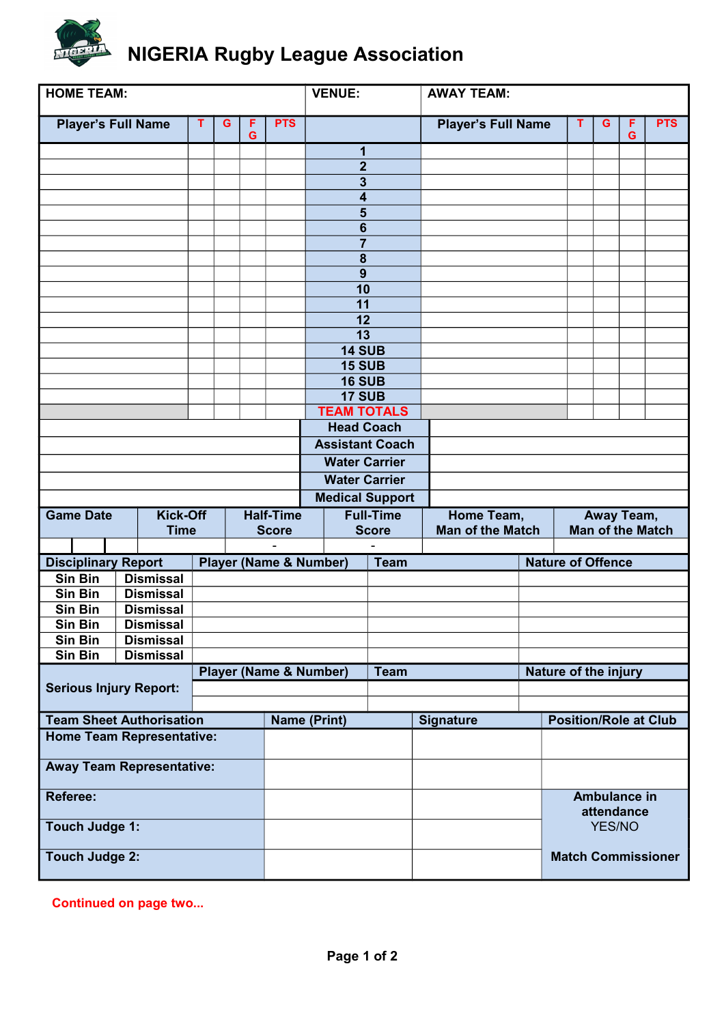

| <b>HOME TEAM:</b>                |                                     |  |   |                  |              | <b>VENUE:</b>                     |                          |  | <b>AWAY TEAM:</b>         |  |                                   |        |        |            |
|----------------------------------|-------------------------------------|--|---|------------------|--------------|-----------------------------------|--------------------------|--|---------------------------|--|-----------------------------------|--------|--------|------------|
| <b>Player's Full Name</b>        |                                     |  | G | F<br>G           | <b>PTS</b>   |                                   |                          |  | <b>Player's Full Name</b> |  | т                                 | G      | F<br>G | <b>PTS</b> |
|                                  |                                     |  |   |                  |              |                                   | 1                        |  |                           |  |                                   |        |        |            |
|                                  |                                     |  |   |                  |              |                                   | $\mathbf{2}$             |  |                           |  |                                   |        |        |            |
|                                  |                                     |  |   |                  |              |                                   | $\overline{\mathbf{3}}$  |  |                           |  |                                   |        |        |            |
|                                  |                                     |  |   |                  |              |                                   | 4                        |  |                           |  |                                   |        |        |            |
|                                  |                                     |  |   |                  |              |                                   | 5                        |  |                           |  |                                   |        |        |            |
|                                  |                                     |  |   |                  |              |                                   | 6                        |  |                           |  |                                   |        |        |            |
|                                  |                                     |  |   |                  |              |                                   | $\overline{7}$           |  |                           |  |                                   |        |        |            |
|                                  |                                     |  |   |                  |              |                                   | 8<br>9                   |  |                           |  |                                   |        |        |            |
|                                  |                                     |  |   |                  |              |                                   | 10                       |  |                           |  |                                   |        |        |            |
|                                  |                                     |  |   |                  |              |                                   | 11                       |  |                           |  |                                   |        |        |            |
|                                  |                                     |  |   |                  |              |                                   | 12                       |  |                           |  |                                   |        |        |            |
|                                  |                                     |  |   |                  |              |                                   | $\overline{13}$          |  |                           |  |                                   |        |        |            |
|                                  |                                     |  |   |                  |              |                                   | <b>14 SUB</b>            |  |                           |  |                                   |        |        |            |
|                                  |                                     |  |   |                  |              |                                   | <b>15 SUB</b>            |  |                           |  |                                   |        |        |            |
|                                  |                                     |  |   |                  |              |                                   | <b>16 SUB</b>            |  |                           |  |                                   |        |        |            |
|                                  |                                     |  |   |                  |              |                                   | <b>17 SUB</b>            |  |                           |  |                                   |        |        |            |
|                                  |                                     |  |   |                  |              |                                   | <b>TEAM TOTALS</b>       |  |                           |  |                                   |        |        |            |
|                                  |                                     |  |   |                  |              | <b>Head Coach</b>                 |                          |  |                           |  |                                   |        |        |            |
|                                  |                                     |  |   |                  |              |                                   | <b>Assistant Coach</b>   |  |                           |  |                                   |        |        |            |
|                                  |                                     |  |   |                  |              |                                   | <b>Water Carrier</b>     |  |                           |  |                                   |        |        |            |
|                                  |                                     |  |   |                  |              |                                   | <b>Water Carrier</b>     |  |                           |  |                                   |        |        |            |
|                                  |                                     |  |   |                  |              |                                   | <b>Medical Support</b>   |  |                           |  |                                   |        |        |            |
| <b>Game Date</b>                 | <b>Kick-Off</b><br><b>Half-Time</b> |  |   | <b>Full-Time</b> |              |                                   | Home Team,<br>Away Team, |  |                           |  |                                   |        |        |            |
|                                  | <b>Time</b>                         |  |   |                  | <b>Score</b> |                                   | <b>Score</b>             |  | <b>Man of the Match</b>   |  | <b>Man of the Match</b>           |        |        |            |
| <b>Disciplinary Report</b>       |                                     |  |   |                  |              | <b>Player (Name &amp; Number)</b> | <b>Team</b>              |  |                           |  | <b>Nature of Offence</b>          |        |        |            |
| Sin Bin                          | <b>Dismissal</b>                    |  |   |                  |              |                                   |                          |  |                           |  |                                   |        |        |            |
| Sin Bin                          | <b>Dismissal</b>                    |  |   |                  |              |                                   |                          |  |                           |  |                                   |        |        |            |
| Sin Bin                          | <b>Dismissal</b>                    |  |   |                  |              |                                   |                          |  |                           |  |                                   |        |        |            |
| Sin Bin                          | <b>Dismissal</b>                    |  |   |                  |              |                                   |                          |  |                           |  |                                   |        |        |            |
| Sin Bin                          | <b>Dismissal</b>                    |  |   |                  |              |                                   |                          |  |                           |  |                                   |        |        |            |
| Sin Bin                          | <b>Dismissal</b>                    |  |   |                  |              |                                   |                          |  |                           |  |                                   |        |        |            |
|                                  |                                     |  |   |                  |              | <b>Player (Name &amp; Number)</b> | <b>Team</b>              |  |                           |  | Nature of the injury              |        |        |            |
| <b>Serious Injury Report:</b>    |                                     |  |   |                  |              |                                   |                          |  |                           |  |                                   |        |        |            |
|                                  |                                     |  |   |                  |              |                                   |                          |  |                           |  |                                   |        |        |            |
| <b>Team Sheet Authorisation</b>  |                                     |  |   |                  |              | <b>Name (Print)</b>               |                          |  | <b>Signature</b>          |  | <b>Position/Role at Club</b>      |        |        |            |
| <b>Home Team Representative:</b> |                                     |  |   |                  |              |                                   |                          |  |                           |  |                                   |        |        |            |
| <b>Away Team Representative:</b> |                                     |  |   |                  |              |                                   |                          |  |                           |  |                                   |        |        |            |
| <b>Referee:</b>                  |                                     |  |   |                  |              |                                   |                          |  |                           |  | <b>Ambulance in</b><br>attendance |        |        |            |
| <b>Touch Judge 1:</b>            |                                     |  |   |                  |              |                                   |                          |  |                           |  |                                   | YES/NO |        |            |
| <b>Touch Judge 2:</b>            |                                     |  |   |                  |              |                                   |                          |  |                           |  | <b>Match Commissioner</b>         |        |        |            |

**Continued on page two...**